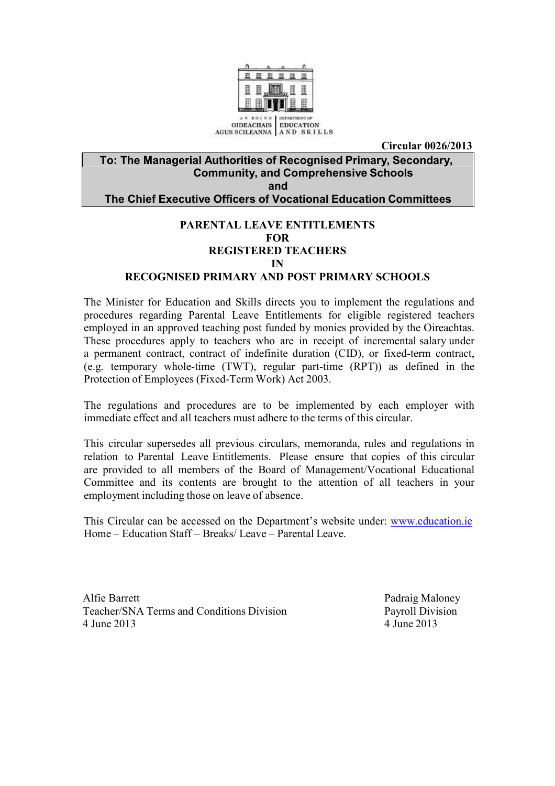

**Circular 0026/2013**

#### **To: The Managerial Authorities of Recognised Primary, Secondary, Community, and Comprehensive Schools and The Chief Executive Officers of Vocational Education Committees**

#### **PARENTAL LEAVE ENTITLEMENTS FOR REGISTERED TEACHERS IN**

#### **RECOGNISED PRIMARY AND POST PRIMARY SCHOOLS**

The Minister for Education and Skills directs you to implement the regulations and procedures regarding Parental Leave Entitlements for eligible registered teachers employed in an approved teaching post funded by monies provided by the Oireachtas. These procedures apply to teachers who are in receipt of incremental salary under a permanent contract, contract of indefinite duration (CID), or fixed-term contract, (e.g. temporary whole-time (TWT), regular part-time (RPT)) as defined in the Protection of Employees (Fixed-Term Work) Act 2003.

The regulations and procedures are to be implemented by each employer with immediate effect and all teachers must adhere to the terms of this circular.

This circular supersedes all previous circulars, memoranda, rules and regulations in relation to Parental Leave Entitlements. Please ensure that copies of this circular are provided to all members of the Board of Management/Vocational Educational Committee and its contents are brought to the attention of all teachers in your employment including those on leave of absence.

This Circular can be accessed on the Department's website under: [www.education.ie](http://www.education.ie/) Home – Education Staff – Breaks/ Leave – Parental Leave.

Alfie Barrett Padraig Maloney Teacher/SNA Terms and Conditions Division Payroll Division 4 June 2013 4 June 2013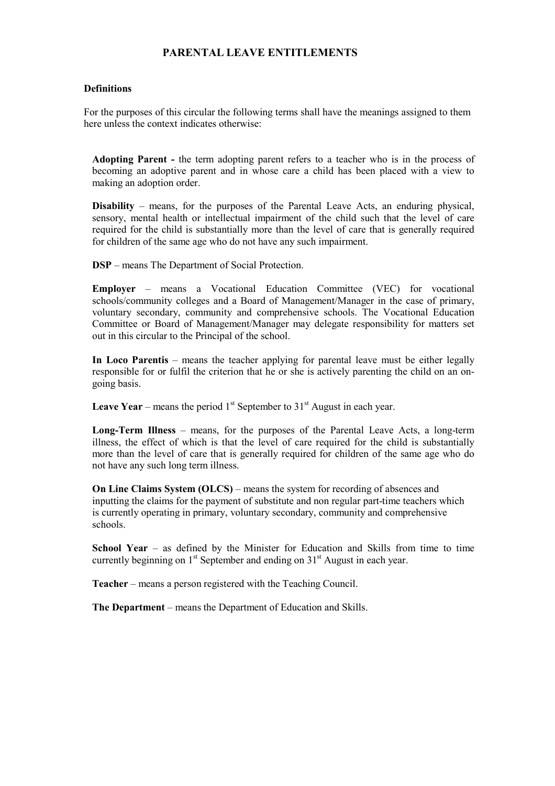#### **PARENTAL LEAVE ENTITLEMENTS**

#### **Definitions**

For the purposes of this circular the following terms shall have the meanings assigned to them here unless the context indicates otherwise:

**Adopting Parent -** the term adopting parent refers to a teacher who is in the process of becoming an adoptive parent and in whose care a child has been placed with a view to making an adoption order.

**Disability** – means, for the purposes of the Parental Leave Acts, an enduring physical, sensory, mental health or intellectual impairment of the child such that the level of care required for the child is substantially more than the level of care that is generally required for children of the same age who do not have any such impairment.

**DSP** – means The Department of Social Protection.

**Employer** – means a Vocational Education Committee (VEC) for vocational schools/community colleges and a Board of Management/Manager in the case of primary, voluntary secondary, community and comprehensive schools. The Vocational Education Committee or Board of Management/Manager may delegate responsibility for matters set out in this circular to the Principal of the school.

**In Loco Parentis** – means the teacher applying for parental leave must be either legally responsible for or fulfil the criterion that he or she is actively parenting the child on an ongoing basis.

**Leave Year** – means the period  $1<sup>st</sup>$  September to  $31<sup>st</sup>$  August in each year.

**Long-Term Illness** – means, for the purposes of the Parental Leave Acts, a long-term illness, the effect of which is that the level of care required for the child is substantially more than the level of care that is generally required for children of the same age who do not have any such long term illness.

**On Line Claims System (OLCS)** – means the system for recording of absences and inputting the claims for the payment of substitute and non regular part-time teachers which is currently operating in primary, voluntary secondary, community and comprehensive schools.

**School Year** – as defined by the Minister for Education and Skills from time to time currently beginning on  $1<sup>st</sup>$  September and ending on  $31<sup>st</sup>$  August in each year.

**Teacher** – means a person registered with the Teaching Council.

**The Department** – means the Department of Education and Skills.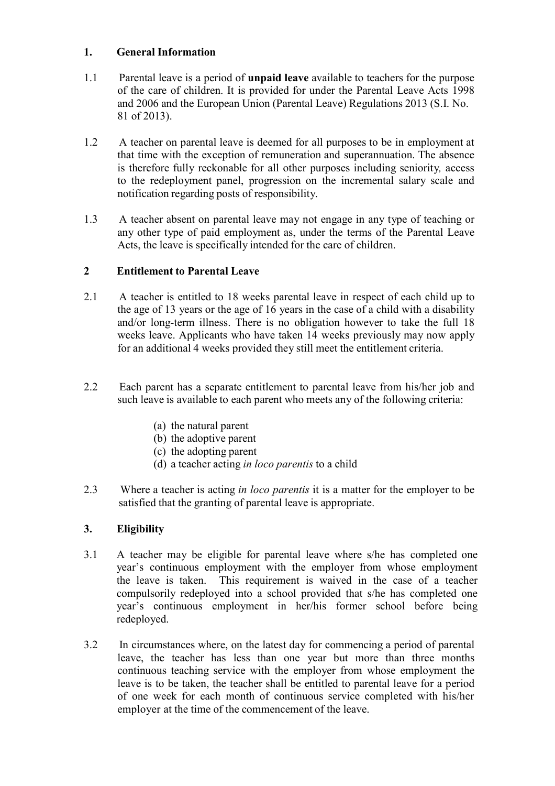## **1. General Information**

- 1.1 Parental leave is a period of **unpaid leave** available to teachers for the purpose of the care of children. It is provided for under the Parental Leave Acts 1998 and 2006 and the European Union (Parental Leave) Regulations 2013 (S.I. No. 81 of 2013).
- 1.2 A teacher on parental leave is deemed for all purposes to be in employment at that time with the exception of remuneration and superannuation. The absence is therefore fully reckonable for all other purposes including seniority*,* access to the redeployment panel, progression on the incremental salary scale and notification regarding posts of responsibility.
- 1.3 A teacher absent on parental leave may not engage in any type of teaching or any other type of paid employment as, under the terms of the Parental Leave Acts, the leave is specifically intended for the care of children.

## **2 Entitlement to Parental Leave**

- 2.1 A teacher is entitled to 18 weeks parental leave in respect of each child up to the age of 13 years or the age of 16 years in the case of a child with a disability and/or long-term illness. There is no obligation however to take the full 18 weeks leave. Applicants who have taken 14 weeks previously may now apply for an additional 4 weeks provided they still meet the entitlement criteria.
- 2.2 Each parent has a separate entitlement to parental leave from his/her job and such leave is available to each parent who meets any of the following criteria:
	- (a) the natural parent
	- (b) the adoptive parent
	- (c) the adopting parent
	- (d) a teacher acting *in loco parentis* to a child
- 2.3 Where a teacher is acting *in loco parentis* it is a matter for the employer to be satisfied that the granting of parental leave is appropriate.

### **3. Eligibility**

- 3.1 A teacher may be eligible for parental leave where s/he has completed one year's continuous employment with the employer from whose employment the leave is taken. This requirement is waived in the case of a teacher compulsorily redeployed into a school provided that s/he has completed one year's continuous employment in her/his former school before being redeployed.
- 3.2 In circumstances where, on the latest day for commencing a period of parental leave, the teacher has less than one year but more than three months continuous teaching service with the employer from whose employment the leave is to be taken, the teacher shall be entitled to parental leave for a period of one week for each month of continuous service completed with his/her employer at the time of the commencement of the leave.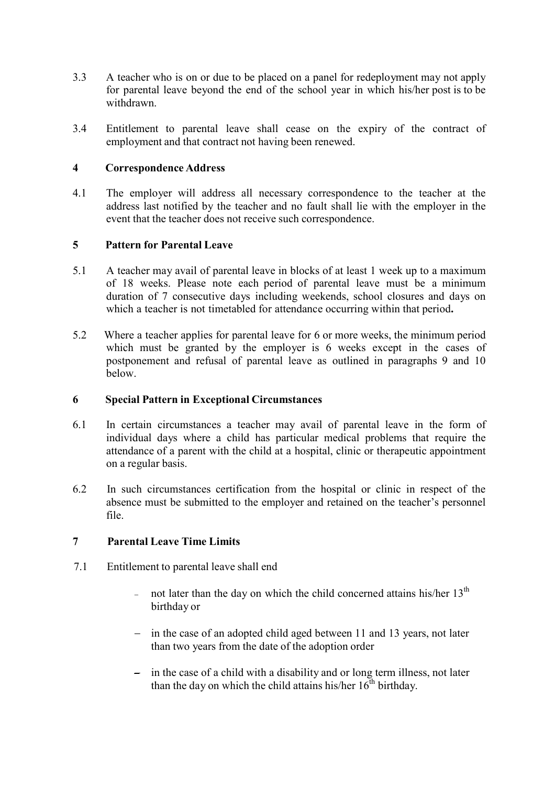- 3.3 A teacher who is on or due to be placed on a panel for redeployment may not apply for parental leave beyond the end of the school year in which his/her post is to be withdrawn.
- 3.4 Entitlement to parental leave shall cease on the expiry of the contract of employment and that contract not having been renewed.

#### **4 Correspondence Address**

4.1 The employer will address all necessary correspondence to the teacher at the address last notified by the teacher and no fault shall lie with the employer in the event that the teacher does not receive such correspondence.

#### **5 Pattern for Parental Leave**

- 5.1 A teacher may avail of parental leave in blocks of at least 1 week up to a maximum of 18 weeks. Please note each period of parental leave must be a minimum duration of 7 consecutive days including weekends, school closures and days on which a teacher is not timetabled for attendance occurring within that period**.**
- 5.2 Where a teacher applies for parental leave for 6 or more weeks, the minimum period which must be granted by the employer is 6 weeks except in the cases of postponement and refusal of parental leave as outlined in paragraphs 9 and 10 below.

#### **6 Special Pattern in Exceptional Circumstances**

- 6.1 In certain circumstances a teacher may avail of parental leave in the form of individual days where a child has particular medical problems that require the attendance of a parent with the child at a hospital, clinic or therapeutic appointment on a regular basis.
- 6.2 In such circumstances certification from the hospital or clinic in respect of the absence must be submitted to the employer and retained on the teacher's personnel file.

### **7 Parental Leave Time Limits**

- 7.1 Entitlement to parental leave shall end
	- not later than the day on which the child concerned attains his/her  $13<sup>th</sup>$ birthday or
	- $\frac{1}{2}$  in the case of an adopted child aged between 11 and 13 years, not later than two years from the date of the adoption order
	- $\overline{\phantom{a}}$  in the case of a child with a disability and or long term illness, not later than the day on which the child attains his/her  $16^{th}$  birthday.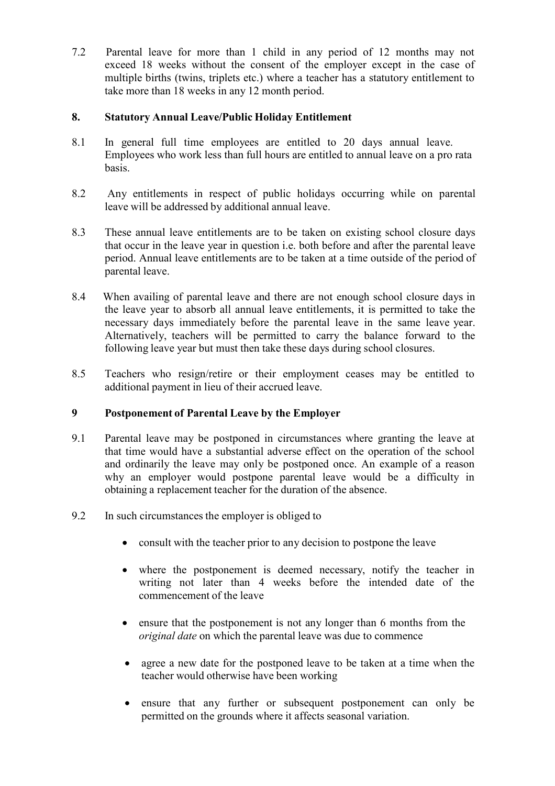7.2 Parental leave for more than 1 child in any period of 12 months may not exceed 18 weeks without the consent of the employer except in the case of multiple births (twins, triplets etc.) where a teacher has a statutory entitlement to take more than 18 weeks in any 12 month period.

## **8. Statutory Annual Leave/Public Holiday Entitlement**

- 8.1 In general full time employees are entitled to 20 days annual leave. Employees who work less than full hours are entitled to annual leave on a pro rata basis.
- 8.2 Any entitlements in respect of public holidays occurring while on parental leave will be addressed by additional annual leave.
- 8.3 These annual leave entitlements are to be taken on existing school closure days that occur in the leave year in question i.e. both before and after the parental leave period. Annual leave entitlements are to be taken at a time outside of the period of parental leave.
- 8.4 When availing of parental leave and there are not enough school closure days in the leave year to absorb all annual leave entitlements, it is permitted to take the necessary days immediately before the parental leave in the same leave year. Alternatively, teachers will be permitted to carry the balance forward to the following leave year but must then take these days during school closures.
- 8.5 Teachers who resign/retire or their employment ceases may be entitled to additional payment in lieu of their accrued leave.

### **9 Postponement of Parental Leave by the Employer**

- 9.1 Parental leave may be postponed in circumstances where granting the leave at that time would have a substantial adverse effect on the operation of the school and ordinarily the leave may only be postponed once. An example of a reason why an employer would postpone parental leave would be a difficulty in obtaining a replacement teacher for the duration of the absence.
- 9.2 In such circumstancesthe employer is obliged to
	- consult with the teacher prior to any decision to postpone the leave
	- where the postponement is deemed necessary, notify the teacher in writing not later than 4 weeks before the intended date of the commencement of the leave
	- ensure that the postponement is not any longer than 6 months from the *original date* on which the parental leave was due to commence
	- agree a new date for the postponed leave to be taken at a time when the teacher would otherwise have been working
	- ensure that any further or subsequent postponement can only be permitted on the grounds where it affects seasonal variation.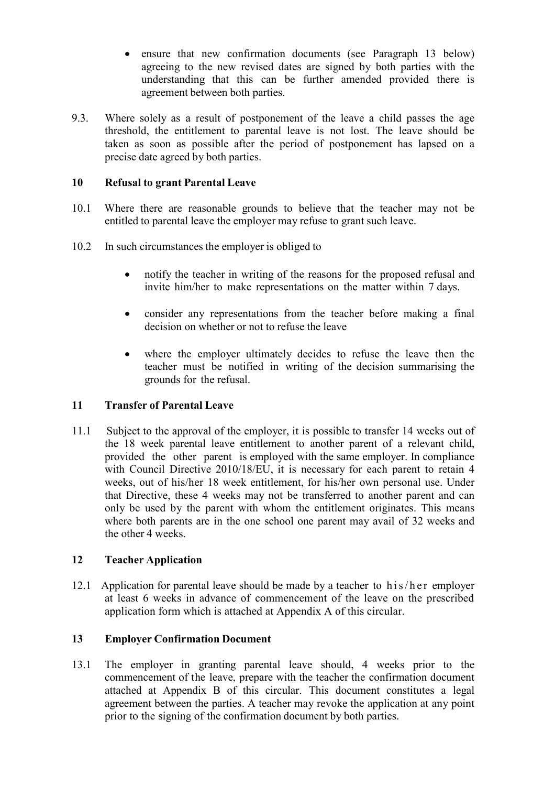- ensure that new confirmation documents (see Paragraph 13 below) agreeing to the new revised dates are signed by both parties with the understanding that this can be further amended provided there is agreement between both parties.
- 9.3. Where solely as a result of postponement of the leave a child passes the age threshold, the entitlement to parental leave is not lost. The leave should be taken as soon as possible after the period of postponement has lapsed on a precise date agreed by both parties.

## **10 Refusal to grant Parental Leave**

- 10.1 Where there are reasonable grounds to believe that the teacher may not be entitled to parental leave the employer may refuse to grant such leave.
- 10.2 In such circumstances the employer is obliged to
	- notify the teacher in writing of the reasons for the proposed refusal and invite him/her to make representations on the matter within 7 days.
	- consider any representations from the teacher before making a final decision on whether or not to refuse the leave
	- where the employer ultimately decides to refuse the leave then the teacher must be notified in writing of the decision summarising the grounds for the refusal.

### **11 Transfer of Parental Leave**

11.1 Subject to the approval of the employer, it is possible to transfer 14 weeks out of the 18 week parental leave entitlement to another parent of a relevant child, provided the other parent is employed with the same employer. In compliance with Council Directive 2010/18/EU, it is necessary for each parent to retain 4 weeks, out of his/her 18 week entitlement, for his/her own personal use. Under that Directive, these 4 weeks may not be transferred to another parent and can only be used by the parent with whom the entitlement originates. This means where both parents are in the one school one parent may avail of 32 weeks and the other 4 weeks.

### **12 Teacher Application**

12.1 Application for parental leave should be made by a teacher to  $his/her$  employer at least 6 weeks in advance of commencement of the leave on the prescribed application form which is attached at Appendix A of this circular.

### **13 Employer Confirmation Document**

13.1 The employer in granting parental leave should, 4 weeks prior to the commencement of the leave, prepare with the teacher the confirmation document attached at Appendix B of this circular. This document constitutes a legal agreement between the parties. A teacher may revoke the application at any point prior to the signing of the confirmation document by both parties.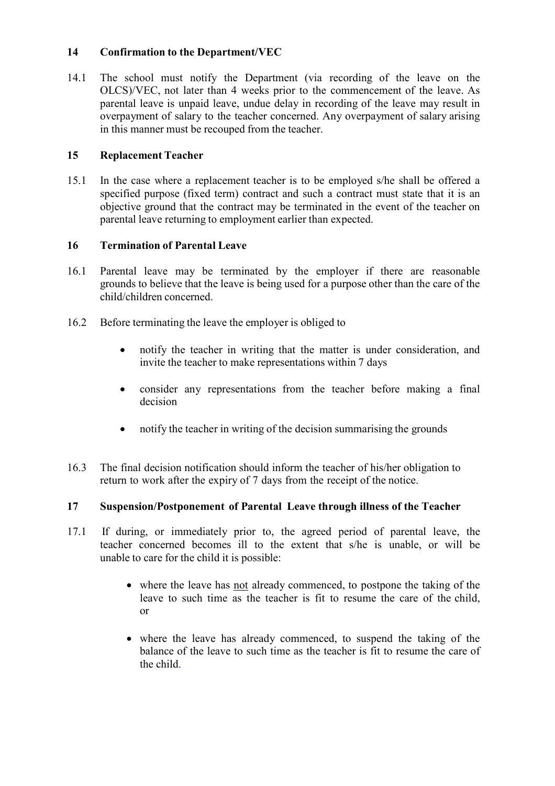## **14 Confirmation to the Department/VEC**

14.1 The school must notify the Department (via recording of the leave on the OLCS)/VEC, not later than 4 weeks prior to the commencement of the leave. As parental leave is unpaid leave, undue delay in recording of the leave may result in overpayment of salary to the teacher concerned. Any overpayment of salary arising in this manner must be recouped from the teacher.

## **15 Replacement Teacher**

15.1 In the case where a replacement teacher is to be employed s/he shall be offered a specified purpose (fixed term) contract and such a contract must state that it is an objective ground that the contract may be terminated in the event of the teacher on parental leave returning to employment earlier than expected.

## **16 Termination of Parental Leave**

- 16.1 Parental leave may be terminated by the employer if there are reasonable grounds to believe that the leave is being used for a purpose other than the care of the child/children concerned.
- 16.2 Before terminating the leave the employer is obliged to
	- notify the teacher in writing that the matter is under consideration, and invite the teacher to make representations within 7 days
	- consider any representations from the teacher before making a final decision
	- notify the teacher in writing of the decision summarising the grounds
- 16.3 The final decision notification should inform the teacher of his/her obligation to return to work after the expiry of 7 days from the receipt of the notice.

### **17 Suspension/Postponement of Parental Leave through illness of the Teacher**

- 17.1 If during, or immediately prior to, the agreed period of parental leave, the teacher concerned becomes ill to the extent that s/he is unable, or will be unable to care for the child it is possible:
	- where the leave has not already commenced, to postpone the taking of the leave to such time as the teacher is fit to resume the care of the child, or
	- where the leave has already commenced, to suspend the taking of the balance of the leave to such time as the teacher is fit to resume the care of the child.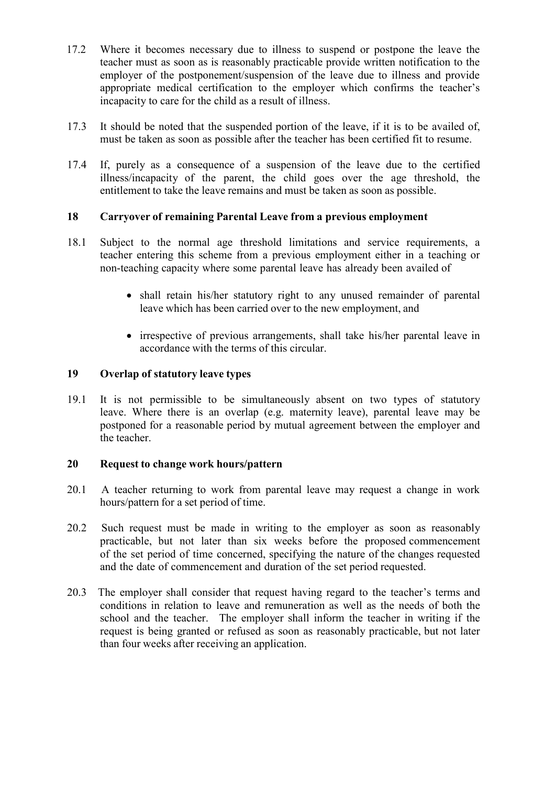- 17.2 Where it becomes necessary due to illness to suspend or postpone the leave the teacher must as soon as is reasonably practicable provide written notification to the employer of the postponement/suspension of the leave due to illness and provide appropriate medical certification to the employer which confirms the teacher's incapacity to care for the child as a result of illness.
- 17.3 It should be noted that the suspended portion of the leave, if it is to be availed of, must be taken as soon as possible after the teacher has been certified fit to resume.
- 17.4 If, purely as a consequence of a suspension of the leave due to the certified illness/incapacity of the parent, the child goes over the age threshold, the entitlement to take the leave remains and must be taken as soon as possible.

## **18 Carryover of remaining Parental Leave from a previous employment**

- 18.1 Subject to the normal age threshold limitations and service requirements, a teacher entering this scheme from a previous employment either in a teaching or non-teaching capacity where some parental leave has already been availed of
	- shall retain his/her statutory right to any unused remainder of parental leave which has been carried over to the new employment, and
	- irrespective of previous arrangements, shall take his/her parental leave in accordance with the terms of this circular.

## **19 Overlap of statutory leave types**

19.1 It is not permissible to be simultaneously absent on two types of statutory leave. Where there is an overlap (e.g. maternity leave), parental leave may be postponed for a reasonable period by mutual agreement between the employer and the teacher.

#### **20 Request to change work hours/pattern**

- 20.1 A teacher returning to work from parental leave may request a change in work hours/pattern for a set period of time.
- 20.2 Such request must be made in writing to the employer as soon as reasonably practicable, but not later than six weeks before the proposed commencement of the set period of time concerned, specifying the nature of the changes requested and the date of commencement and duration of the set period requested.
- 20.3 The employer shall consider that request having regard to the teacher's terms and conditions in relation to leave and remuneration as well as the needs of both the school and the teacher. The employer shall inform the teacher in writing if the request is being granted or refused as soon as reasonably practicable, but not later than four weeks after receiving an application.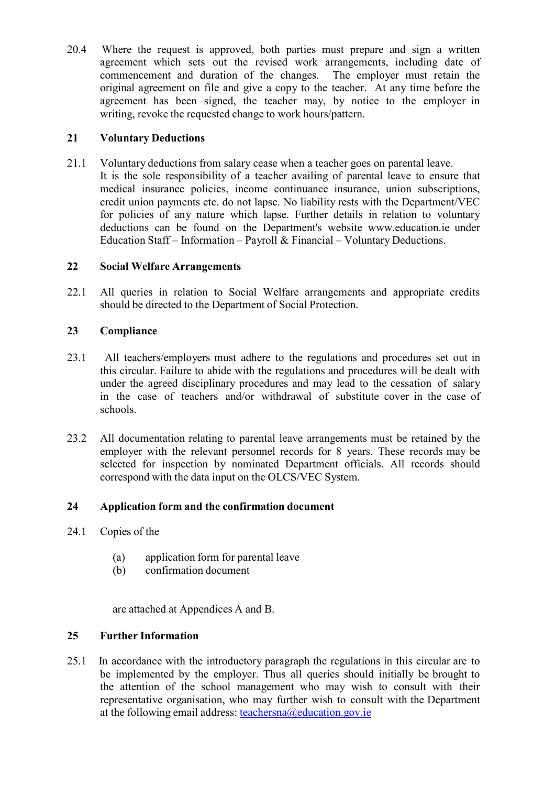20.4 Where the request is approved, both parties must prepare and sign a written agreement which sets out the revised work arrangements, including date of commencement and duration of the changes. The employer must retain the original agreement on file and give a copy to the teacher. At any time before the agreement has been signed, the teacher may, by notice to the employer in writing, revoke the requested change to work hours/pattern.

## **21 Voluntary Deductions**

21.1 Voluntary deductions from salary cease when a teacher goes on parental leave. It is the sole responsibility of a teacher availing of parental leave to ensure that medical insurance policies, income continuance insurance, union subscriptions, credit union payments etc. do not lapse. No liability rests with the Department/VEC for policies of any nature which lapse. Further details in relation to voluntary deductions can be found on the Department's website [www.education.ie](http://www.education.ie/) under Education Staff – Information – Payroll & Financial – Voluntary Deductions.

## **22 Social Welfare Arrangements**

22.1 All queries in relation to Social Welfare arrangements and appropriate credits should be directed to the Department of Social Protection.

## **23 Compliance**

- 23.1 All teachers/employers must adhere to the regulations and procedures set out in this circular. Failure to abide with the regulations and procedures will be dealt with under the agreed disciplinary procedures and may lead to the cessation of salary in the case of teachers and/or withdrawal of substitute cover in the case of schools.
- 23.2 All documentation relating to parental leave arrangements must be retained by the employer with the relevant personnel records for 8 years. These records may be selected for inspection by nominated Department officials. All records should correspond with the data input on the OLCS/VEC System.

## **24 Application form and the confirmation document**

- 24.1 Copies of the
	- (a) application form for parental leave
	- (b) confirmation document

are attached at Appendices A and B.

## **25 Further Information**

25.1 In accordance with the introductory paragraph the regulations in this circular are to be implemented by the employer. Thus all queries should initially be brought to the attention of the school management who may wish to consult with their representative organisation, who may further wish to consult with the Department at the following email address: [teachersna@education.gov.ie](mailto:teachersna@education.gov.ie)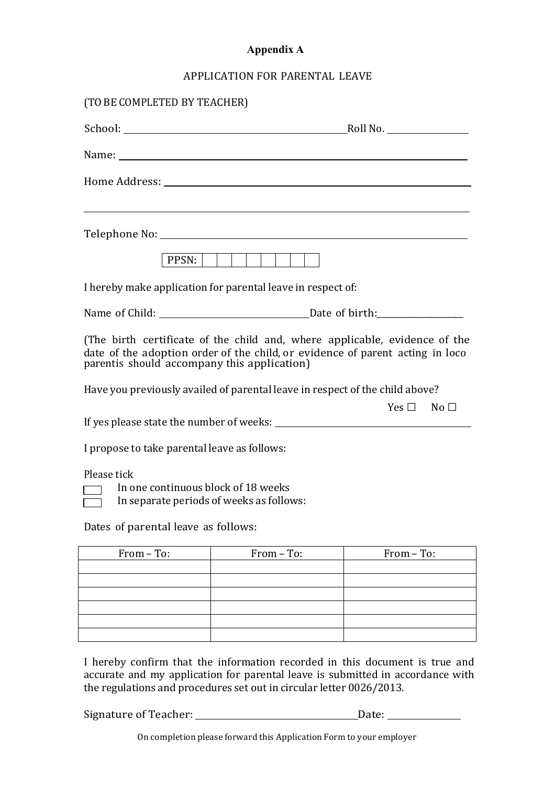# **Appendix A**

## APPLICATION FOR PARENTAL LEAVE

| (TO BE COMPLETED BY TEACHER)                                                                                                                                                                                                   |                                                                                                                  |                                                                                                                                                             |  |
|--------------------------------------------------------------------------------------------------------------------------------------------------------------------------------------------------------------------------------|------------------------------------------------------------------------------------------------------------------|-------------------------------------------------------------------------------------------------------------------------------------------------------------|--|
|                                                                                                                                                                                                                                |                                                                                                                  |                                                                                                                                                             |  |
|                                                                                                                                                                                                                                |                                                                                                                  |                                                                                                                                                             |  |
|                                                                                                                                                                                                                                |                                                                                                                  |                                                                                                                                                             |  |
| Telephone No: Note that the state of the state of the state of the state of the state of the state of the state of the state of the state of the state of the state of the state of the state of the state of the state of the | and the control of the control of the control of the control of the control of the control of the control of the |                                                                                                                                                             |  |
|                                                                                                                                                                                                                                | $PPSN:$                                                                                                          |                                                                                                                                                             |  |
| I hereby make application for parental leave in respect of:                                                                                                                                                                    |                                                                                                                  |                                                                                                                                                             |  |
|                                                                                                                                                                                                                                |                                                                                                                  |                                                                                                                                                             |  |
| parentis should accompany this application)                                                                                                                                                                                    |                                                                                                                  | (The birth certificate of the child and, where applicable, evidence of the<br>date of the adoption order of the child, or evidence of parent acting in loco |  |
| Have you previously availed of parental leave in respect of the child above?                                                                                                                                                   |                                                                                                                  |                                                                                                                                                             |  |
|                                                                                                                                                                                                                                |                                                                                                                  | $Yes \Box$ No $\Box$                                                                                                                                        |  |
| I propose to take parental leave as follows:                                                                                                                                                                                   |                                                                                                                  |                                                                                                                                                             |  |
| Please tick<br>In one continuous block of 18 weeks<br>In separate periods of weeks as follows:<br>Dates of parental leave as follows:                                                                                          |                                                                                                                  |                                                                                                                                                             |  |
| From - To:                                                                                                                                                                                                                     | From - To:                                                                                                       | From - To:                                                                                                                                                  |  |
|                                                                                                                                                                                                                                |                                                                                                                  |                                                                                                                                                             |  |
|                                                                                                                                                                                                                                |                                                                                                                  |                                                                                                                                                             |  |
|                                                                                                                                                                                                                                |                                                                                                                  |                                                                                                                                                             |  |
|                                                                                                                                                                                                                                |                                                                                                                  |                                                                                                                                                             |  |

I hereby confirm that the information recorded in this document is true and accurate and my application for parental leave is submitted in accordance with the regulations and procedures set out in circular letter 0026/2013.

Signature of Teacher: Date:

On completion please forward this Application Form to your employer